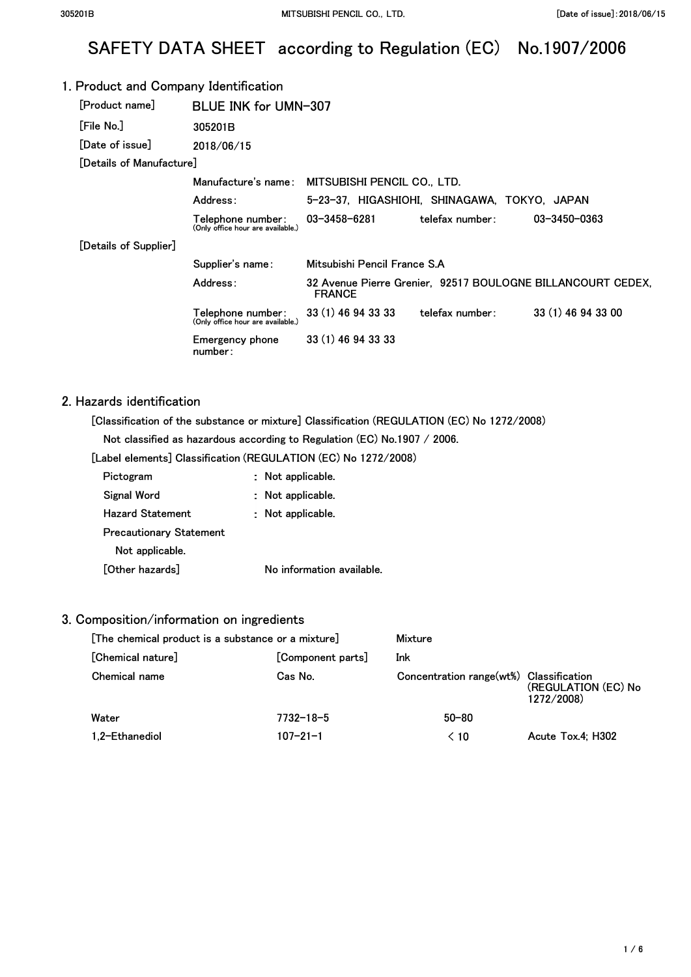# SAFETY DATA SHEET according to Regulation (EC) No.1907/2006

#### 1. Product and Company Identification **[Product name] [File No.] [Date of issue]**  BLUE INK for UMN-307 **305201B 2018/06/15 [Details of Manufacture] Manufacture's name: MITSUBISHI PENCIL CO., LTD. Address: 5-23-37, HIGASHIOHI, SHINAGAWA, TOKYO, JAPAN [Details of Supplier] Telephone number: 03-3458-6281 (Only office hour are available.) telefax number: Supplier's name: Mitsubishi Pencil France S.A 03-3450-0363 Address: 32 Avenue Pierre Grenier, 92517 BOULOGNE BILLANCOURT CEDEX, FRANCE Telephone number: 33 (1) 46 94 33 33 telefax number: 33 (1) 46 94 33 00 (Only office hour are available.) Emergency phone 33 (1) 46 94 33 33 number:**

#### 2. Hazards identification

**[Classification of the substance or mixture] Classification (REGULATION (EC) No 1272/2008)** 

**Not classified as hazardous according to Regulation (EC) No.1907 / 2006.** 

**[Label elements] Classification (REGULATION (EC) No 1272/2008)** 

| Pictogram                      | Not applicable.           |
|--------------------------------|---------------------------|
| Signal Word                    | Not applicable.           |
| <b>Hazard Statement</b>        | : Not applicable.         |
| <b>Precautionary Statement</b> |                           |
| Not applicable.                |                           |
| [Other hazards]                | No information available. |

#### 3. Composition/information on ingredients

| [The chemical product is a substance or a mixture] |                   | Mixture                                 |                                   |
|----------------------------------------------------|-------------------|-----------------------------------------|-----------------------------------|
| [Chemical nature]                                  | [Component parts] | Ink                                     |                                   |
| Chemical name                                      | Cas No.           | Concentration range(wt%) Classification | (REGULATION (EC) No<br>1272/2008) |
| Water                                              | 7732-18-5         | $50 - 80$                               |                                   |
| 1.2-Ethanediol                                     | $107 - 21 - 1$    | $\leq 10$                               | Acute Tox.4: H302                 |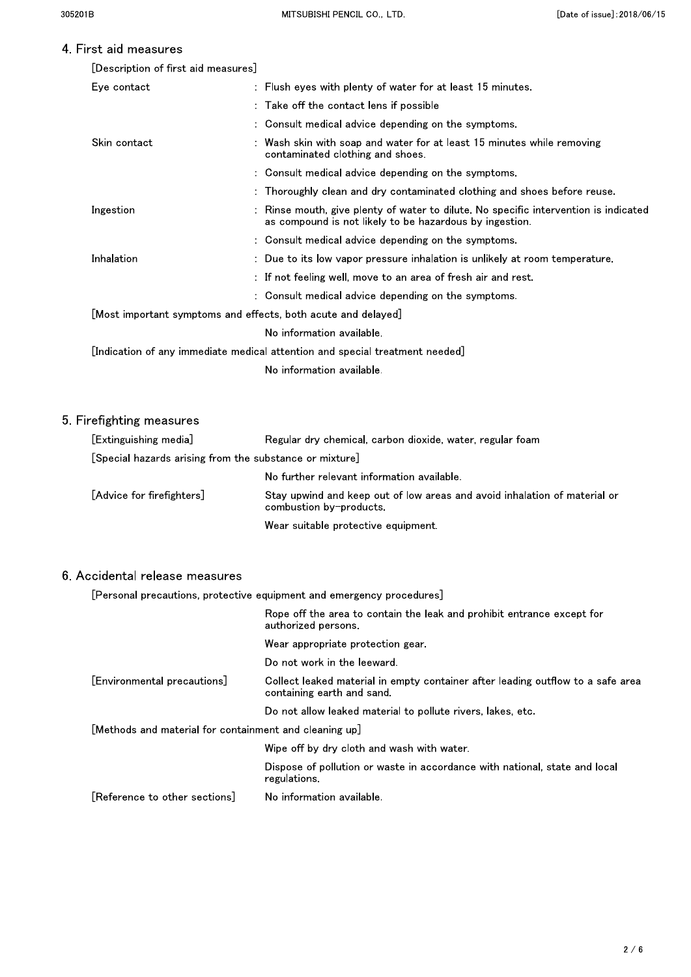### $\overline{4}$ .

| First aid measures                  |                                                                                                                                                 |
|-------------------------------------|-------------------------------------------------------------------------------------------------------------------------------------------------|
| [Description of first aid measures] |                                                                                                                                                 |
| Eye contact                         | : Flush eyes with plenty of water for at least 15 minutes.                                                                                      |
|                                     | : Take off the contact lens if possible                                                                                                         |
|                                     | : Consult medical advice depending on the symptoms.                                                                                             |
| Skin contact                        | : Wash skin with soap and water for at least 15 minutes while removing<br>contaminated clothing and shoes.                                      |
|                                     | : Consult medical advice depending on the symptoms.                                                                                             |
|                                     | : Thoroughly clean and dry contaminated clothing and shoes before reuse.                                                                        |
| Ingestion                           | : Rinse mouth, give plenty of water to dilute. No specific intervention is indicated<br>as compound is not likely to be hazardous by ingestion. |
|                                     | : Consult medical advice depending on the symptoms.                                                                                             |
| Inhalation                          | : Due to its low vapor pressure inhalation is unlikely at room temperature.                                                                     |
|                                     | $\pm$ If not feeling well, move to an area of fresh air and rest.                                                                               |
|                                     |                                                                                                                                                 |

: Consult medical advice depending on the symptoms. [Most important symptoms and effects, both acute and delayed] No information available.

[Indication of any immediate medical attention and special treatment needed]

No information available.

# 5. Firefighting measures

| [Extinguishing media]                                   | Regular dry chemical, carbon dioxide, water, regular foam                                            |  |
|---------------------------------------------------------|------------------------------------------------------------------------------------------------------|--|
| [Special hazards arising from the substance or mixture] |                                                                                                      |  |
|                                                         | No further relevant information available.                                                           |  |
| [Advice for firefighters]                               | Stay upwind and keep out of low areas and avoid inhalation of material or<br>combustion by-products. |  |
|                                                         | Wear suitable protective equipment.                                                                  |  |

#### 6. Accidental release measures

[Personal precautions, protective equipment and emergency procedures]

|                                                        | Rope off the area to contain the leak and prohibit entrance except for<br>authorized persons.                |  |
|--------------------------------------------------------|--------------------------------------------------------------------------------------------------------------|--|
|                                                        | Wear appropriate protection gear.                                                                            |  |
|                                                        | Do not work in the leeward.                                                                                  |  |
| [Environmental precautions]                            | Collect leaked material in empty container after leading outflow to a safe area<br>containing earth and sand |  |
|                                                        | Do not allow leaked material to pollute rivers, lakes, etc.                                                  |  |
| [Methods and material for containment and cleaning up] |                                                                                                              |  |
|                                                        | Wipe off by dry cloth and wash with water.                                                                   |  |
|                                                        | Dispose of pollution or waste in accordance with national, state and local<br>regulations.                   |  |
| [Reference to other sections]                          | No information available.                                                                                    |  |
|                                                        |                                                                                                              |  |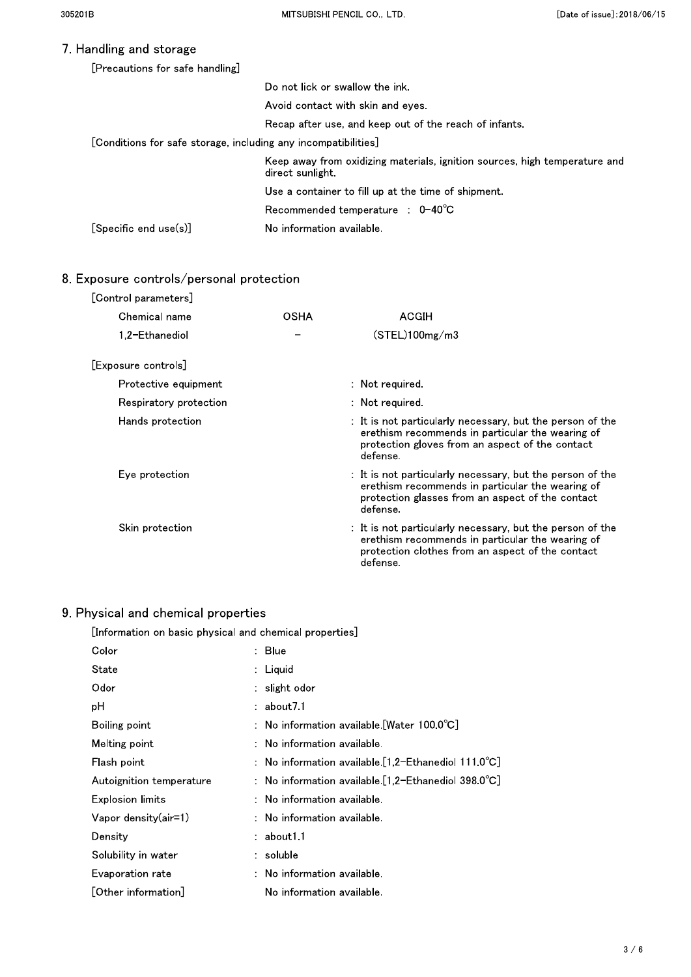# 7. Handling and storage

| [Precautions for safe handling]                                |                                                                                                |  |
|----------------------------------------------------------------|------------------------------------------------------------------------------------------------|--|
|                                                                | Do not lick or swallow the ink.                                                                |  |
|                                                                | Avoid contact with skin and eves                                                               |  |
|                                                                | Recap after use, and keep out of the reach of infants.                                         |  |
| [Conditions for safe storage, including any incompatibilities] |                                                                                                |  |
|                                                                | Keep away from oxidizing materials, ignition sources, high temperature and<br>direct sunlight. |  |
|                                                                | Use a container to fill up at the time of shipment.                                            |  |
|                                                                | Recommended temperature : $0-40^{\circ}$ C                                                     |  |
| $[Specific$ end $use(s)]$                                      | No information available.                                                                      |  |

# 8. Exposure controls/personal protection

| [Control parameters] |                        |             |                                                                                                                                                                               |
|----------------------|------------------------|-------------|-------------------------------------------------------------------------------------------------------------------------------------------------------------------------------|
| Chemical name        |                        | <b>OSHA</b> | ACGIH                                                                                                                                                                         |
| 1.2-Ethanediol       |                        |             | (STEL)100mg/m3                                                                                                                                                                |
| [Exposure controls]  |                        |             |                                                                                                                                                                               |
|                      | Protective equipment   |             | $\therefore$ Not required.                                                                                                                                                    |
|                      | Respiratory protection |             | $\therefore$ Not required.                                                                                                                                                    |
| Hands protection     |                        |             | : It is not particularly necessary, but the person of the<br>erethism recommends in particular the wearing of<br>protection gloves from an aspect of the contact<br>defense.  |
| Eye protection       |                        |             | : It is not particularly necessary, but the person of the<br>erethism recommends in particular the wearing of<br>protection glasses from an aspect of the contact<br>defense. |
| Skin protection      |                        |             | : It is not particularly necessary, but the person of the<br>erethism recommends in particular the wearing of<br>protection clothes from an aspect of the contact<br>defense. |

# $9. P<sub>r</sub>$

| [Information on basic physical and chemical properties]<br>: Blue<br>: Liquid<br>slight odor<br>about 7.1 |
|-----------------------------------------------------------------------------------------------------------|
|                                                                                                           |
|                                                                                                           |
|                                                                                                           |
|                                                                                                           |
| : No information available.[Water $100.0^{\circ}$ C]                                                      |
| No information available.                                                                                 |
| : $\,$ No information available [1,2-Ethanediol 111.0 $^{\circ}$ C]                                       |
| : No information available.[1,2-Ethanediol $398.0^{\circ}$ C]                                             |
| No information available.                                                                                 |
| $:$ No information available.                                                                             |
| : about1.1                                                                                                |
| : soluble                                                                                                 |
| $:$ No information available.                                                                             |
| No information available.                                                                                 |
|                                                                                                           |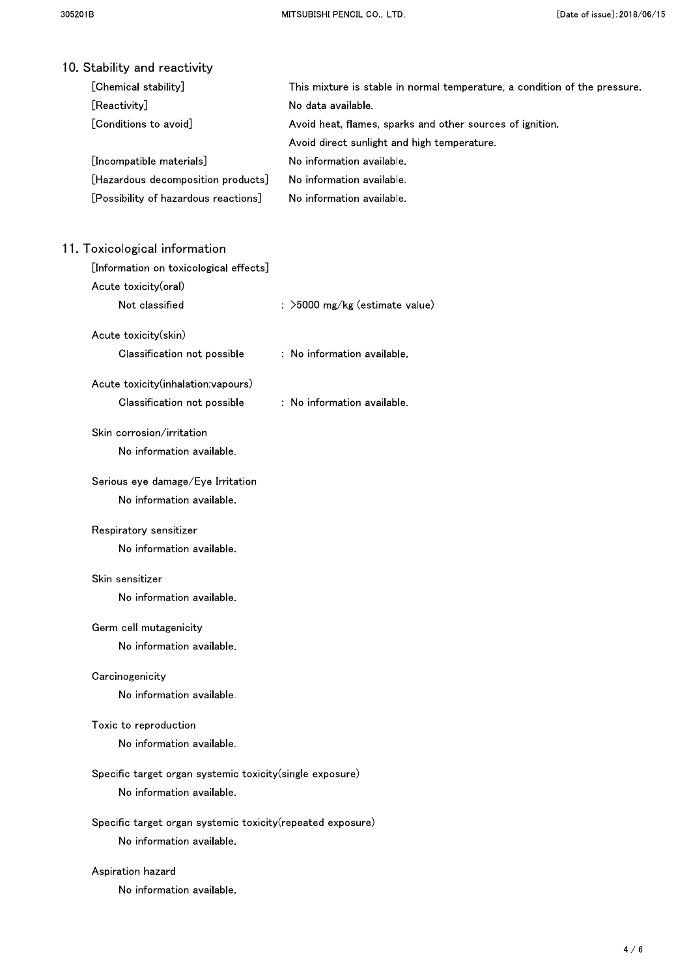| 10 Stability and reactivity                                                |                                                                            |
|----------------------------------------------------------------------------|----------------------------------------------------------------------------|
| [Chemical stability]                                                       | This mixture is stable in normal temperature, a condition of the pressure. |
| [Reactivity]                                                               | No data available.                                                         |
| [Conditions to avoid]                                                      | Avoid heat, flames, sparks and other sources of ignition.                  |
|                                                                            | Avoid direct sunlight and high temperature.                                |
| [Incompatible materials]                                                   | No information available.                                                  |
| [Hazardous decomposition products]<br>[Possibility of hazardous reactions] | No information available.<br>No information available.                     |
|                                                                            |                                                                            |
| 11. Toxicological information                                              |                                                                            |
| [Information on toxicological effects]                                     |                                                                            |
| Acute toxicity(oral)                                                       |                                                                            |
| Not classified                                                             | : >5000 mg/kg (estimate value)                                             |
| Acute toxicity(skin)                                                       |                                                                            |
| Classification not possible                                                | : No information available.                                                |
| Acute toxicity(inhalation:vapours)                                         |                                                                            |
| Classification not possible                                                | : No information available.                                                |
| Skin corrosion/irritation                                                  |                                                                            |
| No information available.                                                  |                                                                            |
| Serious eye damage/Eye Irritation                                          |                                                                            |
| No information available.                                                  |                                                                            |
| Respiratory sensitizer                                                     |                                                                            |
| No information available.                                                  |                                                                            |
| Skin sensitizer                                                            |                                                                            |
| No information available.                                                  |                                                                            |
| Germ cell mutagenicity                                                     |                                                                            |
| No information available.                                                  |                                                                            |
| Carcinogenicity                                                            |                                                                            |
| No information available.                                                  |                                                                            |
| Toxic to reproduction                                                      |                                                                            |
| No information available.                                                  |                                                                            |
| Specific target organ systemic toxicity(single exposure)                   |                                                                            |
| No information available.                                                  |                                                                            |
| Specific target organ systemic toxicity (repeated exposure)                |                                                                            |
| No information available.                                                  |                                                                            |
| Aspiration hazard                                                          |                                                                            |
| No information available.                                                  |                                                                            |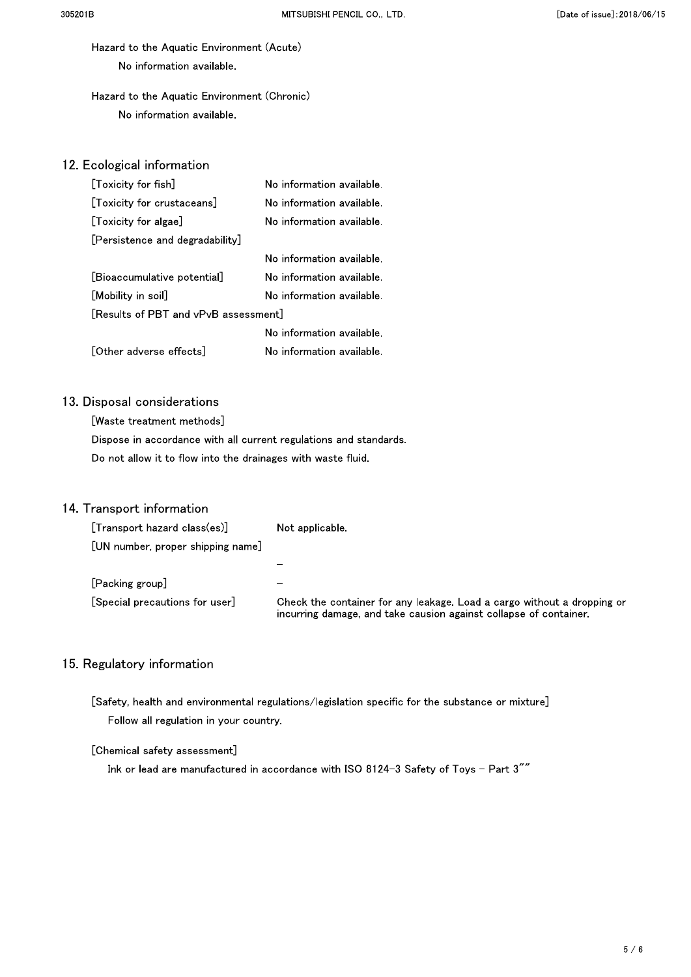Hazard to the Aquatic Environment (Acute) No information available.

# Hazard to the Aquatic Environment (Chronic) No information available.

# 12. Ecological information

| [Toxicity for fish]                  | No information available. |  |
|--------------------------------------|---------------------------|--|
| [Toxicity for crustaceans]           | No information available. |  |
| [Toxicity for algae]                 | No information available. |  |
| [Persistence and degradability]      |                           |  |
|                                      | No information available. |  |
| [Bioaccumulative potential]          | No information available. |  |
| [Mobility in soil]                   | No information available. |  |
| [Results of PBT and vPvB assessment] |                           |  |
|                                      | No information available. |  |
| [Other adverse effects]              | No information available. |  |

# 13. Disposal considerations

[Waste treatment methods] Dispose in accordance with all current regulations and standards. Do not allow it to flow into the drainages with waste fluid.

# 14. Transport information

| $[Transport\ hazard\ classes]$    | Not applicable                                                                                                                               |
|-----------------------------------|----------------------------------------------------------------------------------------------------------------------------------------------|
| [UN number, proper shipping name] |                                                                                                                                              |
|                                   |                                                                                                                                              |
| $[Packing$ group $]$              | $\equiv$                                                                                                                                     |
| [Special precautions for user]    | Check the container for any leakage. Load a cargo without a dropping or<br>incurring damage, and take causion against collapse of container. |

# 15. Regulatory information

[Safety, health and environmental regulations/legislation specific for the substance or mixture] Follow all regulation in your country.

### [Chemical safety assessment]

Ink or lead are manufactured in accordance with ISO 8124-3 Safety of Toys - Part 3""